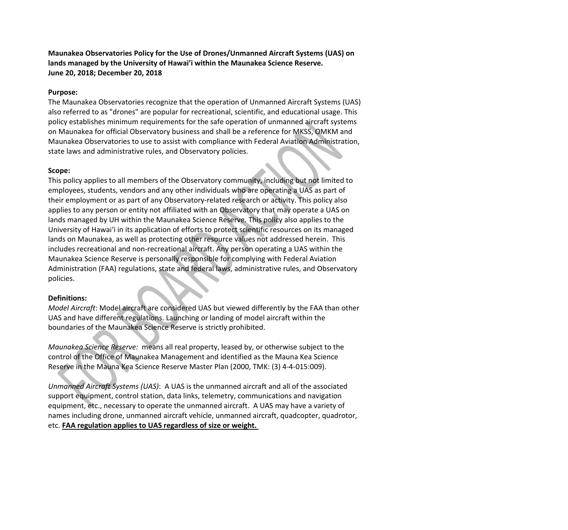**Maunakea Observatories Policy for the Use of Drones/Unmanned Aircraft Systems (UAS) on lands managed by the University of Hawai'i within the Maunakea Science Reserve. June 20, 2018; December 20, 2018**

### **Purpose:**

The Maunakea Observatories recognize that the operation of Unmanned Aircraft Systems (UAS) also referred to as "drones" are popular for recreational, scientific, and educational usage. This policy establishes minimum requirements for the safe operation of unmanned aircraft systems on Maunakea for official Observatory business and shall be a reference for MKSS, OMKM and Maunakea Observatories to use to assist with compliance with Federal Aviation Administration, state laws and administrative rules, and Observatory policies.

#### **Scope:**

This policy applies to all members of the Observatory community, including but not limited to employees, students, vendors and any other individuals who are operating a UAS as part of their employment or as part of any Observatory-related research or activity. This policy also applies to any person or entity not affiliated with an Observatory that may operate a UAS on lands managed by UH within the Maunakea Science Reserve. This policy also applies to the University of Hawaiʻi in its application of efforts to protect scientific resources on its managed lands on Maunakea, as well as protecting other resource values not addressed herein. This includes recreational and non-recreational aircraft. Any person operating a UAS within the Maunakea Science Reserve is personally responsible for complying with Federal Aviation Administration (FAA) regulations, state and federal laws, administrative rules, and Observatory policies.

#### **Definitions:**

*Model Aircraft*: Model aircraft are considered UAS but viewed differently by the FAA than other UAS and have different regulations. Launching or landing of model aircraft within the boundaries of the Maunakea Science Reserve is strictly prohibited.

*Maunakea Science Reserve:* means all real property, leased by, or otherwise subject to the control of the Office of Maunakea Management and identified as the Mauna Kea Science Reserve in the Mauna Kea Science Reserve Master Plan (2000, TMK: (3) 4-4-015:009).

*Unmanned Aircraft Systems (UAS)*: A UAS is the unmanned aircraft and all of the associated support equipment, control station, data links, telemetry, communications and navigation equipment, etc., necessary to operate the unmanned aircraft. A UAS may have a variety of names including drone, unmanned aircraft vehicle, unmanned aircraft, quadcopter, quadrotor, etc. **FAA regulation applies to UAS regardless of size or weight.**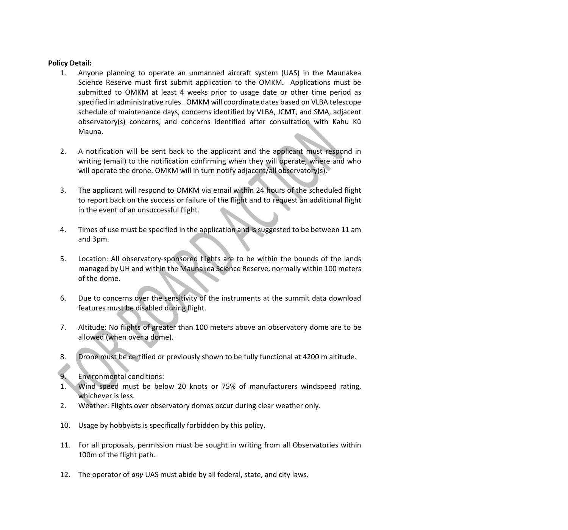### **Policy Detail:**

- 1. Anyone planning to operate an unmanned aircraft system (UAS) in the Maunakea Science Reserve must first submit application to the OMKM*.* Applications must be submitted to OMKM at least 4 weeks prior to usage date or other time period as specified in administrative rules. OMKM will coordinate dates based on VLBA telescope schedule of maintenance days, concerns identified by VLBA, JCMT, and SMA, adjacent observatory(s) concerns, and concerns identified after consultation with Kahu Kū Mauna.
- 2. A notification will be sent back to the applicant and the applicant must respond in writing (email) to the notification confirming when they will operate, where and who will operate the drone. OMKM will in turn notify adjacent/all observatory(s).
- 3. The applicant will respond to OMKM via email within 24 hours of the scheduled flight to report back on the success or failure of the flight and to request an additional flight in the event of an unsuccessful flight.
- 4. Times of use must be specified in the application and is suggested to be between 11 am and 3pm.
- 5. Location: All observatory-sponsored flights are to be within the bounds of the lands managed by UH and within the Maunakea Science Reserve, normally within 100 meters of the dome.
- 6. Due to concerns over the sensitivity of the instruments at the summit data download features must be disabled during flight.
- 7. Altitude: No flights of greater than 100 meters above an observatory dome are to be allowed (when over a dome).
- 8. Drone must be certified or previously shown to be fully functional at 4200 m altitude.
- 9. Environmental conditions:
- 1. Wind speed must be below 20 knots or 75% of manufacturers windspeed rating, whichever is less.
- 2. Weather: Flights over observatory domes occur during clear weather only.
- 10. Usage by hobbyists is specifically forbidden by this policy.
- 11. For all proposals, permission must be sought in writing from all Observatories within 100m of the flight path.
- 12. The operator of *any* UAS must abide by all federal, state, and city laws.